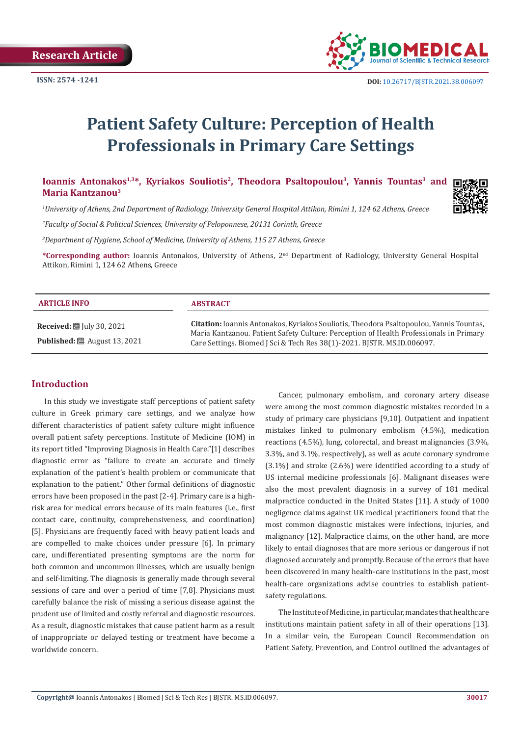

# **Patient Safety Culture: Perception of Health Professionals in Primary Care Settings**

Ioannis Antonakos<sup>1,3\*</sup>, Kyriakos Souliotis<sup>2</sup>, Theodora Psaltopoulou<sup>3</sup>, Yannis Tountas<sup>3</sup> and **Maria Kantzanou3**

*1 University of Athens, 2nd Department of Radiology, University General Hospital Attikon, Rimini 1, 124 62 Athens, Greece*

*2 Faculty of Social & Political Sciences, University of Peloponnese, 20131 Corinth, Greece* 

*3 Department of Hygiene, School of Medicine, University of Athens, 115 27 Athens, Greece*

**\*Corresponding author:** Ioannis Antonakos, University of Athens, 2nd Department of Radiology, University General Hospital Attikon, Rimini 1, 124 62 Athens, Greece

| <b>ARTICLE INFO</b>                                                                           | <b>ABSTRACT</b>                                                                                                                                                                                                                                                     |
|-----------------------------------------------------------------------------------------------|---------------------------------------------------------------------------------------------------------------------------------------------------------------------------------------------------------------------------------------------------------------------|
| <b>Received:</b> $\mathbb{E}$ July 30, 2021<br><b>Published:</b> $\ddot{\Xi}$ August 13, 2021 | <b>Citation:</b> Ioannis Antonakos, Kyriakos Souliotis, Theodora Psaltopoulou, Yannis Tountas,<br>Maria Kantzanou. Patient Safety Culture: Perception of Health Professionals in Primary<br>Care Settings. Biomed J Sci & Tech Res 38(1)-2021. BJSTR. MS.ID.006097. |

# **Introduction**

In this study we investigate staff perceptions of patient safety culture in Greek primary care settings, and we analyze how different characteristics of patient safety culture might influence overall patient safety perceptions. Institute of Medicine (IOM) in its report titled "Improving Diagnosis in Health Care."[1] describes diagnostic error as "failure to create an accurate and timely explanation of the patient's health problem or communicate that explanation to the patient." Other formal definitions of diagnostic errors have been proposed in the past [2-4]. Primary care is a highrisk area for medical errors because of its main features (i.e., first contact care, continuity, comprehensiveness, and coordination) [5]. Physicians are frequently faced with heavy patient loads and are compelled to make choices under pressure [6]. In primary care, undifferentiated presenting symptoms are the norm for both common and uncommon illnesses, which are usually benign and self-limiting. The diagnosis is generally made through several sessions of care and over a period of time [7,8]. Physicians must carefully balance the risk of missing a serious disease against the prudent use of limited and costly referral and diagnostic resources. As a result, diagnostic mistakes that cause patient harm as a result of inappropriate or delayed testing or treatment have become a worldwide concern.

Cancer, pulmonary embolism, and coronary artery disease were among the most common diagnostic mistakes recorded in a study of primary care physicians [9,10]. Outpatient and inpatient mistakes linked to pulmonary embolism (4.5%), medication reactions (4.5%), lung, colorectal, and breast malignancies (3.9%, 3.3%, and 3.1%, respectively), as well as acute coronary syndrome (3.1%) and stroke (2.6%) were identified according to a study of US internal medicine professionals [6]. Malignant diseases were also the most prevalent diagnosis in a survey of 181 medical malpractice conducted in the United States [11]. A study of 1000 negligence claims against UK medical practitioners found that the most common diagnostic mistakes were infections, injuries, and malignancy [12]. Malpractice claims, on the other hand, are more likely to entail diagnoses that are more serious or dangerous if not diagnosed accurately and promptly. Because of the errors that have been discovered in many health-care institutions in the past, most health-care organizations advise countries to establish patientsafety regulations.

The Institute of Medicine, in particular, mandates that healthcare institutions maintain patient safety in all of their operations [13]. In a similar vein, the European Council Recommendation on Patient Safety, Prevention, and Control outlined the advantages of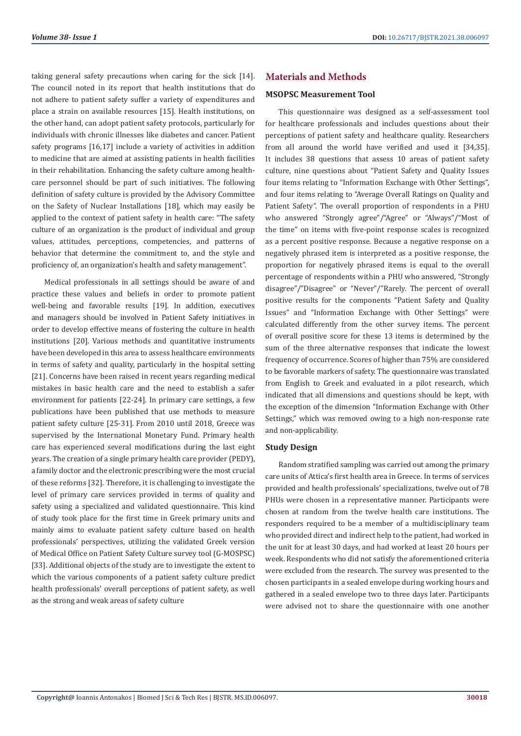taking general safety precautions when caring for the sick [14]. The council noted in its report that health institutions that do not adhere to patient safety suffer a variety of expenditures and place a strain on available resources [15]. Health institutions, on the other hand, can adopt patient safety protocols, particularly for individuals with chronic illnesses like diabetes and cancer. Patient safety programs [16,17] include a variety of activities in addition to medicine that are aimed at assisting patients in health facilities in their rehabilitation. Enhancing the safety culture among healthcare personnel should be part of such initiatives. The following definition of safety culture is provided by the Advisory Committee on the Safety of Nuclear Installations [18], which may easily be applied to the context of patient safety in health care: ''The safety culture of an organization is the product of individual and group values, attitudes, perceptions, competencies, and patterns of behavior that determine the commitment to, and the style and proficiency of, an organization's health and safety management".

Medical professionals in all settings should be aware of and practice these values and beliefs in order to promote patient well-being and favorable results [19]. In addition, executives and managers should be involved in Patient Safety initiatives in order to develop effective means of fostering the culture in health institutions [20]. Various methods and quantitative instruments have been developed in this area to assess healthcare environments in terms of safety and quality, particularly in the hospital setting [21]. Concerns have been raised in recent years regarding medical mistakes in basic health care and the need to establish a safer environment for patients [22-24]. In primary care settings, a few publications have been published that use methods to measure patient safety culture [25-31]. From 2010 until 2018, Greece was supervised by the International Monetary Fund. Primary health care has experienced several modifications during the last eight years. The creation of a single primary health care provider (PEDY), a family doctor and the electronic prescribing were the most crucial of these reforms [32]. Therefore, it is challenging to investigate the level of primary care services provided in terms of quality and safety using a specialized and validated questionnaire. This kind of study took place for the first time in Greek primary units and mainly aims to evaluate patient safety culture based on health professionals' perspectives, utilizing the validated Greek version of Medical Office on Patient Safety Culture survey tool (G-MOSPSC) [33]. Additional objects of the study are to investigate the extent to which the various components of a patient safety culture predict health professionals' overall perceptions of patient safety, as well as the strong and weak areas of safety culture

# **Materials and Methods**

## **MSOPSC Measurement Tool**

This questionnaire was designed as a self-assessment tool for healthcare professionals and includes questions about their perceptions of patient safety and healthcare quality. Researchers from all around the world have verified and used it [34,35]. It includes 38 questions that assess 10 areas of patient safety culture, nine questions about "Patient Safety and Quality Issues four items relating to "Information Exchange with Other Settings", and four items relating to "Average Overall Ratings on Quality and Patient Safety". The overall proportion of respondents in a PHU who answered "Strongly agree"/"Agree" or "Always"/"Most of the time" on items with five-point response scales is recognized as a percent positive response. Because a negative response on a negatively phrased item is interpreted as a positive response, the proportion for negatively phrased items is equal to the overall percentage of respondents within a PHU who answered, "Strongly disagree"/"Disagree" or "Never"/"Rarely. The percent of overall positive results for the components "Patient Safety and Quality Issues" and "Information Exchange with Other Settings" were calculated differently from the other survey items. The percent of overall positive score for these 13 items is determined by the sum of the three alternative responses that indicate the lowest frequency of occurrence. Scores of higher than 75% are considered to be favorable markers of safety. The questionnaire was translated from English to Greek and evaluated in a pilot research, which indicated that all dimensions and questions should be kept, with the exception of the dimension "Information Exchange with Other Settings," which was removed owing to a high non-response rate and non-applicability.

## **Study Design**

Random stratified sampling was carried out among the primary care units of Attica's first health area in Greece. In terms of services provided and health professionals' specializations, twelve out of 78 PHUs were chosen in a representative manner. Participants were chosen at random from the twelve health care institutions. The responders required to be a member of a multidisciplinary team who provided direct and indirect help to the patient, had worked in the unit for at least 30 days, and had worked at least 20 hours per week. Respondents who did not satisfy the aforementioned criteria were excluded from the research. The survey was presented to the chosen participants in a sealed envelope during working hours and gathered in a sealed envelope two to three days later. Participants were advised not to share the questionnaire with one another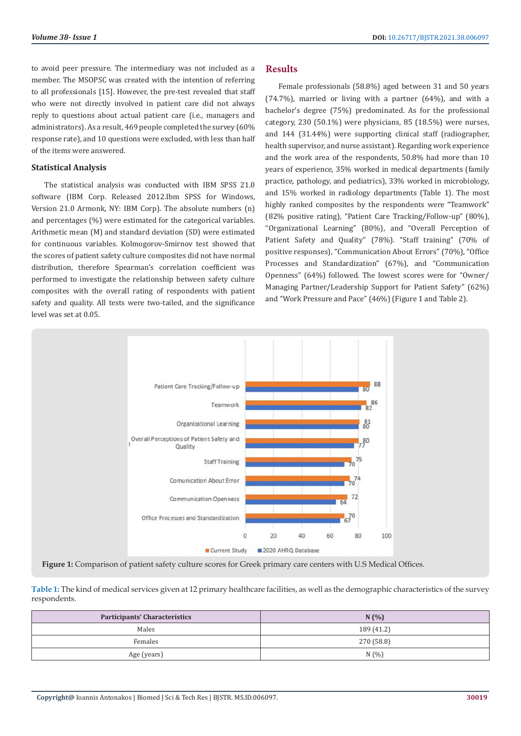to avoid peer pressure. The intermediary was not included as a member. The MSOPSC was created with the intention of referring to all professionals [15]. However, the pre-test revealed that staff who were not directly involved in patient care did not always reply to questions about actual patient care (i.e., managers and administrators). As a result, 469 people completed the survey (60% response rate), and 10 questions were excluded, with less than half of the items were answered.

## **Statistical Analysis**

The statistical analysis was conducted with IBM SPSS 21.0 software (IBM Corp. Released 2012.Ibm SPSS for Windows, Version 21.0 Armonk, NY: IBM Corp). The absolute numbers (n) and percentages (%) were estimated for the categorical variables. Arithmetic mean (M) and standard deviation (SD) were estimated for continuous variables. Kolmogorov-Smirnov test showed that the scores of patient safety culture composites did not have normal distribution, therefore Spearman's correlation coefficient was performed to investigate the relationship between safety culture composites with the overall rating of respondents with patient safety and quality. All tests were two-tailed, and the significance level was set at 0.05.

## **Results**

Female professionals (58.8%) aged between 31 and 50 years (74.7%), married or living with a partner (64%), and with a bachelor's degree (75%) predominated. As for the professional category, 230 (50.1%) were physicians, 85 (18.5%) were nurses, and 144 (31.44%) were supporting clinical staff (radiographer, health supervisor, and nurse assistant). Regarding work experience and the work area of the respondents, 50.8% had more than 10 years of experience, 35% worked in medical departments (family practice, pathology, and pediatrics), 33% worked in microbiology, and 15% worked in radiology departments (Table 1). The most highly ranked composites by the respondents were "Teamwork" (82% positive rating), "Patient Care Tracking/Follow-up" (80%), "Organizational Learning" (80%), and "Overall Perception of Patient Safety and Quality" (78%). "Staff training" (70% of positive responses), "Communication About Errors" (70%), "Office Processes and Standardization" (67%), and "Communication Openness" (64%) followed. The lowest scores were for "Owner/ Managing Partner/Leadership Support for Patient Safety" (62%) and "Work Pressure and Pace" (46%) (Figure 1 and Table 2).



**Figure 1:** Comparison of patient safety culture scores for Greek primary care centers with U.S Medical Offices.

| Table 1: The kind of medical services given at 12 primary healthcare facilities, as well as the demographic characteristics of the survey |  |
|-------------------------------------------------------------------------------------------------------------------------------------------|--|
| respondents.                                                                                                                              |  |

| <b>Participants' Characteristics</b> | N(%)       |
|--------------------------------------|------------|
| Males                                | 189 (41.2) |
| Females                              | 270 (58.8) |
| Age (years)                          | N(%)       |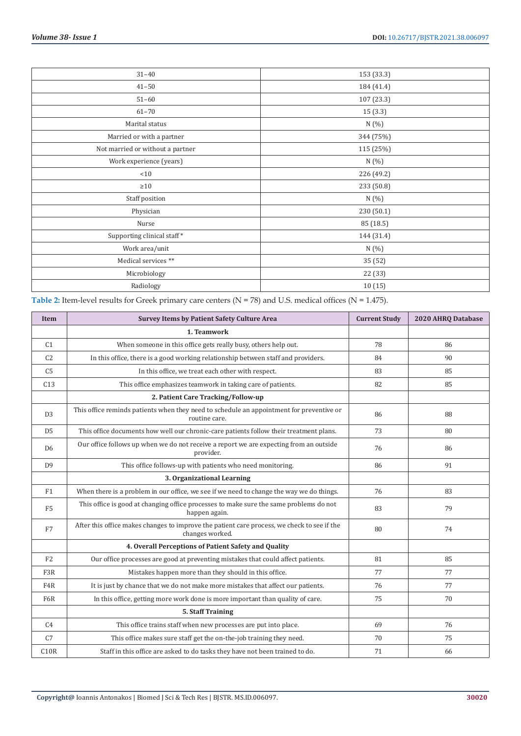| $31 - 40$                        | 153 (33.3) |
|----------------------------------|------------|
| $41 - 50$                        | 184 (41.4) |
| $51 - 60$                        | 107 (23.3) |
| $61 - 70$                        | 15 (3.3)   |
| Marital status                   | N (%)      |
| Married or with a partner        | 344 (75%)  |
| Not married or without a partner | 115 (25%)  |
| Work experience (years)          | N (%)      |
| < 10                             | 226 (49.2) |
| $\geq 10$                        | 233 (50.8) |
| Staff position                   | N(%        |
| Physician                        | 230 (50.1) |
| Nurse                            | 85 (18.5)  |
| Supporting clinical staff*       | 144 (31.4) |
| Work area/unit                   | N (%)      |
| Medical services **              | 35 (52)    |
| Microbiology                     | 22 (33)    |
| Radiology                        | 10(15)     |

| <b>Item</b>      | <b>Survey Items by Patient Safety Culture Area</b>                                                             | <b>Current Study</b> | 2020 AHRQ Database |
|------------------|----------------------------------------------------------------------------------------------------------------|----------------------|--------------------|
|                  | 1. Teamwork                                                                                                    |                      |                    |
| C <sub>1</sub>   | When someone in this office gets really busy, others help out.                                                 | 78                   | 86                 |
| C <sub>2</sub>   | In this office, there is a good working relationship between staff and providers.                              | 84                   | 90                 |
| C <sub>5</sub>   | In this office, we treat each other with respect.                                                              | 83                   | 85                 |
| C13              | This office emphasizes teamwork in taking care of patients.                                                    | 82                   | 85                 |
|                  | 2. Patient Care Tracking/Follow-up                                                                             |                      |                    |
| D <sub>3</sub>   | This office reminds patients when they need to schedule an appointment for preventive or<br>routine care.      | 86                   | 88                 |
| D <sub>5</sub>   | This office documents how well our chronic-care patients follow their treatment plans.                         | 73                   | 80                 |
| D <sub>6</sub>   | Our office follows up when we do not receive a report we are expecting from an outside<br>provider.            | 76                   | 86                 |
| D <sub>9</sub>   | This office follows-up with patients who need monitoring.                                                      | 86                   | 91                 |
|                  | 3. Organizational Learning                                                                                     |                      |                    |
| F1               | When there is a problem in our office, we see if we need to change the way we do things.                       | 76                   | 83                 |
| F <sub>5</sub>   | This office is good at changing office processes to make sure the same problems do not<br>happen again.        | 83                   | 79                 |
| F7               | After this office makes changes to improve the patient care process, we check to see if the<br>changes worked. | 80                   | 74                 |
|                  | 4. Overall Perceptions of Patient Safety and Quality                                                           |                      |                    |
| F2               | Our office processes are good at preventing mistakes that could affect patients.                               | 81                   | 85                 |
| F3R              | Mistakes happen more than they should in this office.                                                          | 77                   | 77                 |
| F <sub>4</sub> R | It is just by chance that we do not make more mistakes that affect our patients.                               | 76                   | 77                 |
| F6R              | In this office, getting more work done is more important than quality of care.                                 | 75                   | 70                 |
|                  | 5. Staff Training                                                                                              |                      |                    |
| C <sub>4</sub>   | This office trains staff when new processes are put into place.                                                | 69                   | 76                 |
| C7               | This office makes sure staff get the on-the-job training they need.                                            | 70                   | 75                 |
| C10R             | Staff in this office are asked to do tasks they have not been trained to do.                                   | 71                   | 66                 |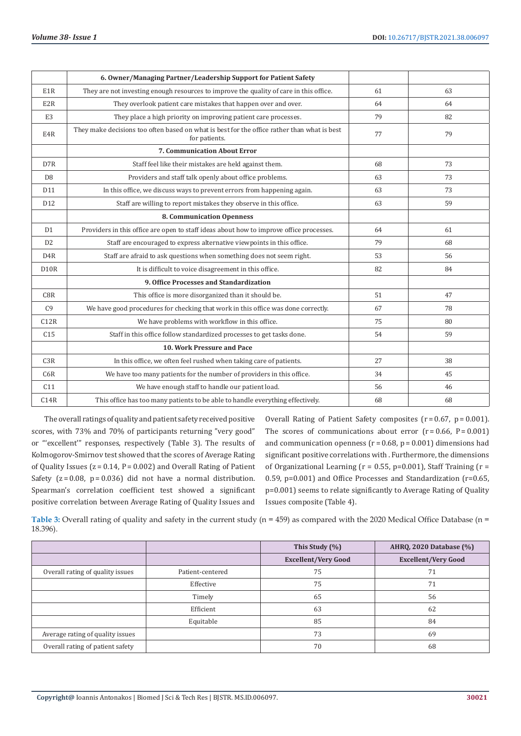|                   | 6. Owner/Managing Partner/Leadership Support for Patient Safety                                              |    |    |
|-------------------|--------------------------------------------------------------------------------------------------------------|----|----|
| E1R               | They are not investing enough resources to improve the quality of care in this office.                       | 61 | 63 |
| E2R               | They overlook patient care mistakes that happen over and over.                                               | 64 | 64 |
| E <sub>3</sub>    | They place a high priority on improving patient care processes.                                              | 79 | 82 |
| E4R               | They make decisions too often based on what is best for the office rather than what is best<br>for patients. | 77 | 79 |
|                   | <b>7. Communication About Error</b>                                                                          |    |    |
| D <sub>7</sub> R  | Staff feel like their mistakes are held against them.                                                        | 68 | 73 |
| D <sub>8</sub>    | Providers and staff talk openly about office problems.                                                       | 63 | 73 |
| D11               | In this office, we discuss ways to prevent errors from happening again.                                      | 63 | 73 |
| D <sub>12</sub>   | Staff are willing to report mistakes they observe in this office.                                            | 63 | 59 |
|                   | <b>8. Communication Openness</b>                                                                             |    |    |
| D1                | Providers in this office are open to staff ideas about how to improve office processes.                      | 64 | 61 |
| D <sub>2</sub>    | Staff are encouraged to express alternative viewpoints in this office.                                       | 79 | 68 |
| D <sub>4</sub> R  | Staff are afraid to ask questions when something does not seem right.                                        | 53 | 56 |
| D <sub>10</sub> R | It is difficult to voice disagreement in this office.                                                        | 82 | 84 |
|                   | 9. Office Processes and Standardization                                                                      |    |    |
| C8R               | This office is more disorganized than it should be.                                                          | 51 | 47 |
| C9                | We have good procedures for checking that work in this office was done correctly.                            | 67 | 78 |
| C12R              | We have problems with workflow in this office.                                                               | 75 | 80 |
| C <sub>15</sub>   | Staff in this office follow standardized processes to get tasks done.                                        | 54 | 59 |
|                   | 10. Work Pressure and Pace                                                                                   |    |    |
| C3R               | In this office, we often feel rushed when taking care of patients.                                           | 27 | 38 |
| C6R               | We have too many patients for the number of providers in this office.                                        | 34 | 45 |
| C11               | We have enough staff to handle our patient load.                                                             | 56 | 46 |
| C14R              | This office has too many patients to be able to handle everything effectively.                               | 68 | 68 |

The overall ratings of quality and patient safety received positive scores, with 73% and 70% of participants returning "very good" or "'excellent'" responses, respectively (Table 3). The results of Kolmogorov-Smirnov test showed that the scores of Average Rating of Quality Issues ( $z = 0.14$ ,  $P = 0.002$ ) and Overall Rating of Patient Safety  $(z=0.08, p=0.036)$  did not have a normal distribution. Spearman's correlation coefficient test showed a significant positive correlation between Average Rating of Quality Issues and

Overall Rating of Patient Safety composites  $(r=0.67, p=0.001)$ . The scores of communications about error  $(r = 0.66, P = 0.001)$ and communication openness ( $r = 0.68$ ,  $p = 0.001$ ) dimensions had significant positive correlations with . Furthermore, the dimensions of Organizational Learning ( $r = 0.55$ , p=0.001), Staff Training ( $r =$ 0.59, p=0.001) and Office Processes and Standardization (r=0.65, p=0.001) seems to relate significantly to Average Rating of Quality Issues composite (Table 4).

**Table 3:** Overall rating of quality and safety in the current study (n = 459) as compared with the 2020 Medical Office Database (n = 18.396).

|                                  |                  | This Study (%)             | AHRQ, 2020 Database (%)    |  |  |
|----------------------------------|------------------|----------------------------|----------------------------|--|--|
|                                  |                  | <b>Excellent/Very Good</b> | <b>Excellent/Very Good</b> |  |  |
| Overall rating of quality issues | Patient-centered | 75                         | 71                         |  |  |
|                                  | Effective        | 75                         | 71                         |  |  |
|                                  | Timely           | 65                         | 56                         |  |  |
|                                  | Efficient        | 63                         | 62                         |  |  |
|                                  | Equitable        | 85                         | 84                         |  |  |
| Average rating of quality issues |                  | 73                         | 69                         |  |  |
| Overall rating of patient safety |                  | 70                         | 68                         |  |  |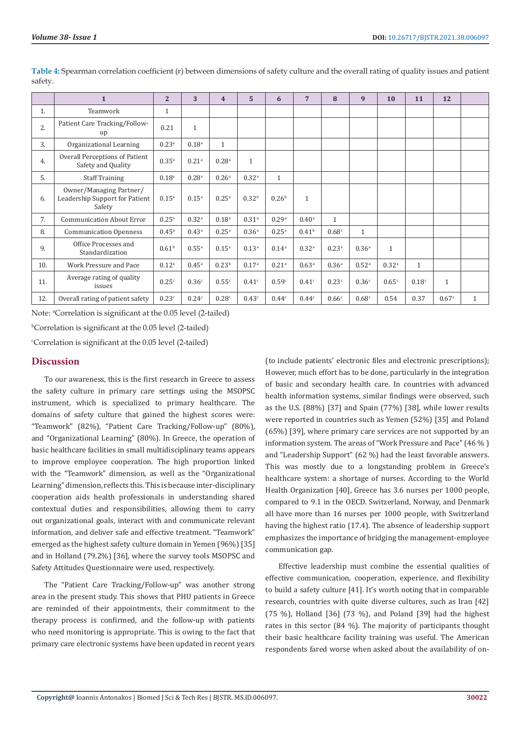|     | $\mathbf{1}$                                                        | $\overline{2}$    | 3                   | $\overline{\mathbf{4}}$ | 5                 | 6                 | 7                 | 8                 | 9                   | 10                | 11                | 12           |              |
|-----|---------------------------------------------------------------------|-------------------|---------------------|-------------------------|-------------------|-------------------|-------------------|-------------------|---------------------|-------------------|-------------------|--------------|--------------|
| 1.  | Teamwork                                                            | $\mathbf{1}$      |                     |                         |                   |                   |                   |                   |                     |                   |                   |              |              |
| 2.  | Patient Care Tracking/Follow-<br>up                                 | 0.21              | $\mathbf{1}$        |                         |                   |                   |                   |                   |                     |                   |                   |              |              |
| 3.  | Organizational Learning                                             | 0.23a             | 0.18 <sup>a</sup>   | $\mathbf{1}$            |                   |                   |                   |                   |                     |                   |                   |              |              |
| 4.  | Overall Perceptions of Patient<br>Safety and Quality                | $0.35^{a}$        | $0.21$ <sup>a</sup> | 0.28 <sup>a</sup>       | $\mathbf{1}$      |                   |                   |                   |                     |                   |                   |              |              |
| 5.  | <b>Staff Training</b>                                               | $0.18^{a}$        | 0.28 <sup>a</sup>   | 0.26 <sup>a</sup>       | 0.32 <sup>a</sup> | $\mathbf{1}$      |                   |                   |                     |                   |                   |              |              |
| 6.  | Owner/Managing Partner/<br>Leadership Support for Patient<br>Safety | $0.15^{a}$        | $0.15^{a}$          | $0.25^{a}$              | 0.32 <sup>b</sup> | 0.26 <sup>b</sup> | $\mathbf{1}$      |                   |                     |                   |                   |              |              |
| 7.  | <b>Communication About Error</b>                                    | $0.25^{\circ}$    | 0.32 <sup>a</sup>   | 0.18 <sup>a</sup>       | 0.31 <sup>a</sup> | 0.29a             | $0.40^{\rm a}$    | $\mathbf{1}$      |                     |                   |                   |              |              |
| 8.  | <b>Communication Openness</b>                                       | $0.45^{\circ}$    | $0.43^{\circ}$      | $0.25^{a}$              | 0.36 <sup>a</sup> | $0.25^{a}$        | 0.41 <sup>b</sup> | 0.68c             | $\mathbf{1}$        |                   |                   |              |              |
| 9.  | Office Processes and<br>Standardization                             | 0.61 <sup>b</sup> | $0.55^{\rm a}$      | $0.15^{a}$              | 0.13 <sup>a</sup> | 0.14 <sup>a</sup> | 0.32 <sup>a</sup> | 0.23 <sup>a</sup> | 0.36 <sup>a</sup>   | $\mathbf{1}$      |                   |              |              |
| 10. | Work Pressure and Pace                                              | $0.12^{a}$        | $0.45^{\rm a}$      | 0.23 <sup>b</sup>       | 0.17 <sup>a</sup> | 0.21 <sup>a</sup> | 0.63 <sup>a</sup> | 0.36 <sup>a</sup> | $0.52$ <sup>a</sup> | 0.32 <sup>a</sup> | $\mathbf{1}$      |              |              |
| 11. | Average rating of quality<br>issues                                 | 0.25c             | 0.36c               | 0.55c                   | 0.41 <sup>c</sup> | 0.59c             | 0.41 <sup>c</sup> | 0.23c             | 0.36c               | 0.65c             | 0.18 <sup>c</sup> | $\mathbf{1}$ |              |
| 12. | Overall rating of patient safety                                    | 0.23c             | 0.24c               | 0.28c                   | 0.43c             | 0.44c             | 0.44c             | 0.66c             | 0.68c               | 0.54              | 0.37              | 0.67c        | $\mathbf{1}$ |

**Table 4:** Spearman correlation coefficient (r) between dimensions of safety culture and the overall rating of quality issues and patient safety.

Note: <sup>a</sup>Correlation is significant at the 0.05 level (2-tailed)

b Correlation is significant at the 0.05 level (2-tailed)

c Correlation is significant at the 0.05 level (2-tailed)

## **Discussion**

To our awareness, this is the first research in Greece to assess the safety culture in primary care settings using the MSOPSC instrument, which is specialized to primary healthcare. The domains of safety culture that gained the highest scores were: "Teamwork" (82%), "Patient Care Tracking/Follow-up" (80%), and "Organizational Learning" (80%). In Greece, the operation of basic healthcare facilities in small multidisciplinary teams appears to improve employee cooperation. The high proportion linked with the "Teamwork" dimension, as well as the "Organizational Learning" dimension, reflects this. This is because inter-disciplinary cooperation aids health professionals in understanding shared contextual duties and responsibilities, allowing them to carry out organizational goals, interact with and communicate relevant information, and deliver safe and effective treatment. "Teamwork" emerged as the highest safety culture domain in Yemen (96%) [35] and in Holland (79.2%) [36], where the survey tools MSOPSC and Safety Attitudes Questionnaire were used, respectively.

The "Patient Care Tracking/Follow-up" was another strong area in the present study. This shows that PHU patients in Greece are reminded of their appointments, their commitment to the therapy process is confirmed, and the follow-up with patients who need monitoring is appropriate. This is owing to the fact that primary care electronic systems have been updated in recent years

(to include patients' electronic files and electronic prescriptions); However, much effort has to be done, particularly in the integration of basic and secondary health care. In countries with advanced health information systems, similar findings were observed, such as the U.S. (88%) [37] and Spain (77%) [38], while lower results were reported in countries such as Yemen (52%) [35] and Poland (65%) [39], where primary care services are not supported by an information system. The areas of "Work Pressure and Pace" (46 % ) and "Leadership Support" (62 %) had the least favorable answers. This was mostly due to a longstanding problem in Greece's healthcare system: a shortage of nurses. According to the World Health Organization [40], Greece has 3.6 nurses per 1000 people, compared to 9.1 in the OECD. Switzerland, Norway, and Denmark all have more than 16 nurses per 1000 people, with Switzerland having the highest ratio (17.4). The absence of leadership support emphasizes the importance of bridging the management-employee communication gap.

Effective leadership must combine the essential qualities of effective communication, cooperation, experience, and flexibility to build a safety culture [41]. It's worth noting that in comparable research, countries with quite diverse cultures, such as Iran [42]  $(75 \%)$ , Holland  $[36]$   $(73 \%)$ , and Poland  $[39]$  had the highest rates in this sector (84 %). The majority of participants thought their basic healthcare facility training was useful. The American respondents fared worse when asked about the availability of on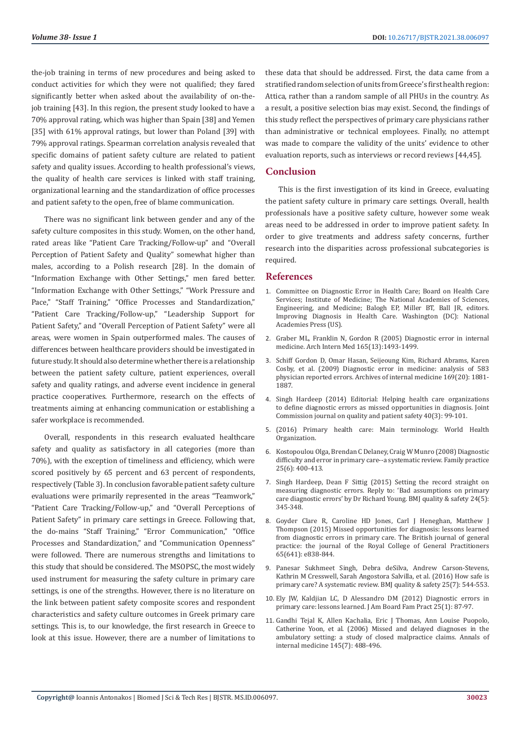the-job training in terms of new procedures and being asked to conduct activities for which they were not qualified; they fared significantly better when asked about the availability of on-thejob training [43]. In this region, the present study looked to have a 70% approval rating, which was higher than Spain [38] and Yemen [35] with 61% approval ratings, but lower than Poland [39] with 79% approval ratings. Spearman correlation analysis revealed that specific domains of patient safety culture are related to patient safety and quality issues. According to health professional's views, the quality of health care services is linked with staff training, organizational learning and the standardization of office processes and patient safety to the open, free of blame communication.

There was no significant link between gender and any of the safety culture composites in this study. Women, on the other hand, rated areas like "Patient Care Tracking/Follow-up" and "Overall Perception of Patient Safety and Quality" somewhat higher than males, according to a Polish research [28]. In the domain of "Information Exchange with Other Settings," men fared better. "Information Exchange with Other Settings," "Work Pressure and Pace," "Staff Training," "Office Processes and Standardization," "Patient Care Tracking/Follow-up," "Leadership Support for Patient Safety," and "Overall Perception of Patient Safety" were all areas, were women in Spain outperformed males. The causes of differences between healthcare providers should be investigated in future study. It should also determine whether there is a relationship between the patient safety culture, patient experiences, overall safety and quality ratings, and adverse event incidence in general practice cooperatives. Furthermore, research on the effects of treatments aiming at enhancing communication or establishing a safer workplace is recommended.

Overall, respondents in this research evaluated healthcare safety and quality as satisfactory in all categories (more than 70%), with the exception of timeliness and efficiency, which were scored positively by 65 percent and 63 percent of respondents, respectively (Table 3). In conclusion favorable patient safety culture evaluations were primarily represented in the areas "Teamwork," "Patient Care Tracking/Follow-up," and "Overall Perceptions of Patient Safety" in primary care settings in Greece. Following that, the do-mains "Staff Training," "Error Communication," "Office Processes and Standardization," and "Communication Openness" were followed. There are numerous strengths and limitations to this study that should be considered. The MSOPSC, the most widely used instrument for measuring the safety culture in primary care settings, is one of the strengths. However, there is no literature on the link between patient safety composite scores and respondent characteristics and safety culture outcomes in Greek primary care settings. This is, to our knowledge, the first research in Greece to look at this issue. However, there are a number of limitations to

these data that should be addressed. First, the data came from a stratified random selection of units from Greece's first health region: Attica, rather than a random sample of all PHUs in the country. As a result, a positive selection bias may exist. Second, the findings of this study reflect the perspectives of primary care physicians rather than administrative or technical employees. Finally, no attempt was made to compare the validity of the units' evidence to other evaluation reports, such as interviews or record reviews [44,45].

## **Conclusion**

This is the first investigation of its kind in Greece, evaluating the patient safety culture in primary care settings. Overall, health professionals have a positive safety culture, however some weak areas need to be addressed in order to improve patient safety. In order to give treatments and address safety concerns, further research into the disparities across professional subcategories is required.

#### **References**

- 1. Committee on Diagnostic Error in Health Care; Board on Health Care Services; Institute of Medicine; The National Academies of Sciences, Engineering, and Medicine; Balogh EP, Miller BT, Ball JR, editors. Improving Diagnosis in Health Care. Washington (DC): National Academies Press (US).
- 2. [Graber ML, Franklin N, Gordon R \(2005\) Diagnostic error in internal](https://pubmed.ncbi.nlm.nih.gov/16009864/) [medicine. Arch Intern Med 165\(13\):1493-1499.](https://pubmed.ncbi.nlm.nih.gov/16009864/)
- 3. [Schiff Gordon D, Omar Hasan, Seijeoung Kim, Richard Abrams, Karen](https://pubmed.ncbi.nlm.nih.gov/19901140/) [Cosby, et al. \(2009\) Diagnostic error in medicine: analysis of 583](https://pubmed.ncbi.nlm.nih.gov/19901140/) [physician reported errors. Archives of internal medicine 169\(20\): 1881-](https://pubmed.ncbi.nlm.nih.gov/19901140/) [1887.](https://pubmed.ncbi.nlm.nih.gov/19901140/)
- 4. [Singh Hardeep \(2014\) Editorial: Helping health care organizations](https://pubmed.ncbi.nlm.nih.gov/24730204/) [to define diagnostic errors as missed opportunities in diagnosis. Joint](https://pubmed.ncbi.nlm.nih.gov/24730204/) [Commission journal on quality and patient safety 40\(3\): 99-101.](https://pubmed.ncbi.nlm.nih.gov/24730204/)
- 5. (2016) Primary health care: Main terminology. World Health Organization.
- 6. [Kostopoulou Olga, Brendan C Delaney, Craig W Munro \(2008\) Diagnostic](https://pubmed.ncbi.nlm.nih.gov/18842618/) [difficulty and error in primary care--a systematic review. Family practice](https://pubmed.ncbi.nlm.nih.gov/18842618/) [25\(6\): 400-413.](https://pubmed.ncbi.nlm.nih.gov/18842618/)
- 7. [Singh Hardeep, Dean F Sittig \(2015\) Setting the record straight on](https://qualitysafety.bmj.com/content/24/5/345.2.abstract) [measuring diagnostic errors. Reply to: 'Bad assumptions on primary](https://qualitysafety.bmj.com/content/24/5/345.2.abstract) [care diagnostic errors' by Dr Richard Young. BMJ quality & safety 24\(5\):](https://qualitysafety.bmj.com/content/24/5/345.2.abstract) [345-348.](https://qualitysafety.bmj.com/content/24/5/345.2.abstract)
- 8. [Goyder Clare R, Caroline HD Jones, Carl J Heneghan, Matthew J](https://pubmed.ncbi.nlm.nih.gov/26622037/) [Thompson \(2015\) Missed opportunities for diagnosis: lessons learned](https://pubmed.ncbi.nlm.nih.gov/26622037/) [from diagnostic errors in primary care. The British journal of general](https://pubmed.ncbi.nlm.nih.gov/26622037/) [practice: the journal of the Royal College of General Practitioners](https://pubmed.ncbi.nlm.nih.gov/26622037/) [65\(641\): e838-844.](https://pubmed.ncbi.nlm.nih.gov/26622037/)
- 9. [Panesar Sukhmeet Singh, Debra deSilva, Andrew Carson-Stevens,](https://pubmed.ncbi.nlm.nih.gov/26715764/) [Kathrin M Cresswell, Sarah Angostora Salvilla, et al. \(2016\) How safe is](https://pubmed.ncbi.nlm.nih.gov/26715764/) [primary care? A systematic review. BMJ quality & safety 25\(7\): 544-553.](https://pubmed.ncbi.nlm.nih.gov/26715764/)
- 10. [Ely JW, Kaldjian LC, D Alessandro DM \(2012\) Diagnostic errors in](https://pubmed.ncbi.nlm.nih.gov/22218629/) [primary care: lessons learned. J Am Board Fam Pract 25\(1\): 87-97.](https://pubmed.ncbi.nlm.nih.gov/22218629/)
- 11. [Gandhi Tejal K, Allen Kachalia, Eric J Thomas, Ann Louise Puopolo,](https://pubmed.ncbi.nlm.nih.gov/17015866/) [Catherine Yoon, et al. \(2006\) Missed and delayed diagnoses in the](https://pubmed.ncbi.nlm.nih.gov/17015866/) [ambulatory setting: a study of closed malpractice claims. Annals of](https://pubmed.ncbi.nlm.nih.gov/17015866/) [internal medicine 145\(7\): 488-496.](https://pubmed.ncbi.nlm.nih.gov/17015866/)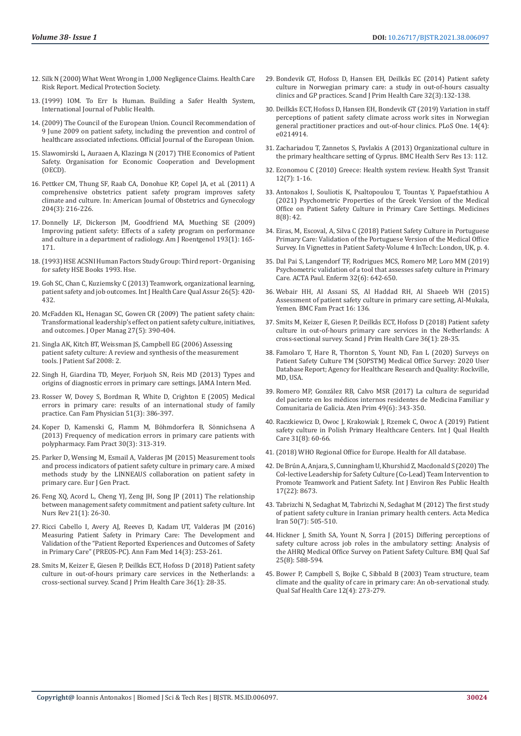- 12. Silk N (2000) What Went Wrong in 1,000 Negligence Claims. Health Care Risk Report. Medical Protection Society.
- 13. (1999) IOM. To Err Is Human. Building a Safer Health System, International Journal of Public Health.
- 14. (2009) The Council of the European Union. Council Recommendation of 9 June 2009 on patient safety, including the prevention and control of healthcare associated infections. Official Journal of the European Union.
- 15. [Slawomirski L, Auraaen A, Klazinga N \(2017\) THE Economics of Patient](https://www.oecd.org/els/health-systems/The-economics-of-patient-safety-March-2017.pdf)  [Safety. Organisation for Economic Cooperation and Development](https://www.oecd.org/els/health-systems/The-economics-of-patient-safety-March-2017.pdf)  [\(OECD\).](https://www.oecd.org/els/health-systems/The-economics-of-patient-safety-March-2017.pdf)
- 16. [Pettker CM, Thung SF, Raab CA, Donohue KP, Copel JA, et al. \(2011\) A](https://pubmed.ncbi.nlm.nih.gov/21376160/)  [comprehensive obstetrics patient safety program improves safety](https://pubmed.ncbi.nlm.nih.gov/21376160/)  [climate and culture. In: American Journal of Obstetrics and Gynecology](https://pubmed.ncbi.nlm.nih.gov/21376160/)  [204\(3\): 216-226.](https://pubmed.ncbi.nlm.nih.gov/21376160/)
- 17. [Donnelly LF, Dickerson JM, Goodfriend MA, Muething SE \(2009\)](https://pubmed.ncbi.nlm.nih.gov/19542409/)  [Improving patient safety: Effects of a safety program on performance](https://pubmed.ncbi.nlm.nih.gov/19542409/)  [and culture in a department of radiology. Am J Roentgenol 193\(1\): 165-](https://pubmed.ncbi.nlm.nih.gov/19542409/) [171.](https://pubmed.ncbi.nlm.nih.gov/19542409/)
- 18. (1993) HSE ACSNI Human Factors Study Group: Third report Organising for safety HSE Books 1993. Hse.
- 19. [Goh SC, Chan C, Kuziemsky C \(2013\) Teamwork, organizational learning,](https://pubmed.ncbi.nlm.nih.gov/23905302/)  [patient safety and job outcomes. Int J Health Care Qual Assur 26\(5\): 420-](https://pubmed.ncbi.nlm.nih.gov/23905302/) [432.](https://pubmed.ncbi.nlm.nih.gov/23905302/)
- 20. [McFadden KL, Henagan SC, Gowen CR \(2009\) The patient safety chain:](https://www.sciencedirect.com/science/article/abs/pii/S0272696309000035)  [Transformational leadership's effect on patient safety culture, initiatives,](https://www.sciencedirect.com/science/article/abs/pii/S0272696309000035)  [and outcomes. J Oper Manag 27\(5\): 390-404.](https://www.sciencedirect.com/science/article/abs/pii/S0272696309000035)
- 21. [Singla AK, Kitch BT, Weissman JS, Campbell EG \(2006\) Assessing](https://psnet.ahrq.gov/issue/assessing-patient-safety-culture-review-and-synthesis-measurement-tools)  [patient safety culture: A review and synthesis of the measurement](https://psnet.ahrq.gov/issue/assessing-patient-safety-culture-review-and-synthesis-measurement-tools)  [tools. J Patient Saf 2008: 2.](https://psnet.ahrq.gov/issue/assessing-patient-safety-culture-review-and-synthesis-measurement-tools)
- 22. Singh H, Giardina TD, Meyer, Forjuoh SN, Reis MD (2013) Types and origins of diagnostic errors in primary care settings. JAMA Intern Med.
- 23. [Rosser W, Dovey S, Bordman R, White D, Crighton E \(2005\) Medical](https://pubmed.ncbi.nlm.nih.gov/16926931/)  [errors in primary care: results of an international study of family](https://pubmed.ncbi.nlm.nih.gov/16926931/)  [practice. Can Fam Physician 51\(3\): 386-397.](https://pubmed.ncbi.nlm.nih.gov/16926931/)
- 24. [Koper D, Kamenski G, Flamm M, Böhmdorfera B, Sönnichsena A](https://pubmed.ncbi.nlm.nih.gov/23132894/)  [\(2013\) Frequency of medication errors in primary care patients with](https://pubmed.ncbi.nlm.nih.gov/23132894/)  [polypharmacy. Fam Pract 30\(3\): 313-319.](https://pubmed.ncbi.nlm.nih.gov/23132894/)
- 25. Parker D, Wensing M, Esmail A, Valderas JM (2015) Measurement tools and process indicators of patient safety culture in primary care. A mixed methods study by the LINNEAUS collaboration on patient safety in primary care. Eur J Gen Pract.
- 26. Feng XQ, Acord L, Cheng YJ, Zeng JH, Song JP (2011) The relationship between management safety commitment and patient safety culture. Int Nurs Rev 21(1): 26-30.
- 27. [Ricci Cabello I, Avery AJ, Reeves D, Kadam UT, Valderas JM \(2016\)](https://pubmed.ncbi.nlm.nih.gov/27184996/)  [Measuring Patient Safety in Primary Care: The Development and](https://pubmed.ncbi.nlm.nih.gov/27184996/)  [Validation of the "Patient Reported Experiences and Outcomes of Safety](https://pubmed.ncbi.nlm.nih.gov/27184996/)  [in Primary Care" \(PREOS-PC\). Ann Fam Med 14\(3\): 253-261.](https://pubmed.ncbi.nlm.nih.gov/27184996/)
- 28. [Smits M, Keizer E, Giesen P, Deilkås ECT, Hofoss D \(2018\) Patient safety](https://pubmed.ncbi.nlm.nih.gov/29334826/)  [culture in out-of-hours primary care services in the Netherlands: a](https://pubmed.ncbi.nlm.nih.gov/29334826/)  [cross-sectional survey. Scand J Prim Health Care 36\(1\): 28-35.](https://pubmed.ncbi.nlm.nih.gov/29334826/)
- 29. Bondevik GT, Hofoss D, Hansen EH, Deilkås EC (2014) Patient safety culture in Norwegian primary care: a study in out-of-hours casualty clinics and GP practices. Scand J Prim Health Care 32(3):132-138.
- 30. [Deilkås ECT, Hofoss D, Hansen EH, Bondevik GT \(2019\) Variation in staff](https://pubmed.ncbi.nlm.nih.gov/30970041/) [perceptions of patient safety climate across work sites in Norwegian](https://pubmed.ncbi.nlm.nih.gov/30970041/) [general practitioner practices and out-of-hour clinics. PLoS One. 14\(4\):](https://pubmed.ncbi.nlm.nih.gov/30970041/) [e0214914.](https://pubmed.ncbi.nlm.nih.gov/30970041/)
- 31. [Zachariadou T, Zannetos S, Pavlakis A \(2013\) Organizational culture in](https://bmchealthservres.biomedcentral.com/articles/10.1186/1472-6963-13-112) [the primary healthcare setting of Cyprus. BMC Health Serv Res 13: 112.](https://bmchealthservres.biomedcentral.com/articles/10.1186/1472-6963-13-112)
- 32. Economou C (2010) Greece: Health system review. Health Syst Transit 12(7): 1-16.
- 33. Antonakos I, Souliotis K, Psaltopoulou T, Tountas Y, Papaefstathiou A (2021) Psychometric Properties of the Greek Version of the Medical Office on Patient Safety Culture in Primary Care Settings. Medicines 8(8): 42.
- 34. [Eiras, M, Escoval, A, Silva C \(2018\) Patient Safety Culture in Portuguese](https://www.researchgate.net/publication/330134662_Patient_Safety_Culture_in_Portuguese_Primary_Care_Validation_of_the_Portuguese_Version_of_the_Medical_Office_Survey) [Primary Care: Validation of the Portuguese Version of the Medical Office](https://www.researchgate.net/publication/330134662_Patient_Safety_Culture_in_Portuguese_Primary_Care_Validation_of_the_Portuguese_Version_of_the_Medical_Office_Survey) [Survey. In Vignettes in Patient Safety-Volume 4 InTech: London, UK, p. 4.](https://www.researchgate.net/publication/330134662_Patient_Safety_Culture_in_Portuguese_Primary_Care_Validation_of_the_Portuguese_Version_of_the_Medical_Office_Survey)
- 35. [Dal Pai S, Langendorf TF, Rodrigues MCS, Romero MP, Loro MM \(2019\)](https://acta-ape.org/en/article/psychometric-validation-of-a-tool-that-assesses-safety-culture-in-primary-care/) [Psychometric validation of a tool that assesses safety culture in Primary](https://acta-ape.org/en/article/psychometric-validation-of-a-tool-that-assesses-safety-culture-in-primary-care/) [Care. ACTA Paul. Enferm 32\(6\): 642-650.](https://acta-ape.org/en/article/psychometric-validation-of-a-tool-that-assesses-safety-culture-in-primary-care/)
- 36. [Webair HH, Al Assani SS, Al Haddad RH, Al Shaeeb WH \(2015\)](https://www.ncbi.nlm.nih.gov/pmc/articles/PMC4604039/) [Assessment of patient safety culture in primary care setting, Al-Mukala,](https://www.ncbi.nlm.nih.gov/pmc/articles/PMC4604039/) [Yemen. BMC Fam Pract 16: 136.](https://www.ncbi.nlm.nih.gov/pmc/articles/PMC4604039/)
- 37. [Smits M, Keizer E, Giesen P, Deilkås ECT, Hofoss D \(2018\) Patient safety](https://pubmed.ncbi.nlm.nih.gov/29334826/) [culture in out-of-hours primary care services in the Netherlands: A](https://pubmed.ncbi.nlm.nih.gov/29334826/) [cross-sectional survey. Scand J Prim Health Care 36\(1\): 28-35.](https://pubmed.ncbi.nlm.nih.gov/29334826/)
- 38. Famolaro T, Hare R, Thornton S, Yount ND, Fan L (2020) Surveys on Patient Safety Culture TM (SOPSTM) Medical Office Survey: 2020 User Database Report; Agency for Healthcare Research and Quality: Rockville, MD, USA.
- 39. [Romero MP, González RB, Calvo MSR \(2017\) La cultura de seguridad](https://www.elsevier.es/es-revista-atencion-primaria-27-articulo-la-cultura-seguridad-del-paciente-S0212656716305613) [del paciente en los médicos internos residentes de Medicina Familiar y](https://www.elsevier.es/es-revista-atencion-primaria-27-articulo-la-cultura-seguridad-del-paciente-S0212656716305613) [Comunitaria de Galicia. Aten Prim 49\(6\): 343-350.](https://www.elsevier.es/es-revista-atencion-primaria-27-articulo-la-cultura-seguridad-del-paciente-S0212656716305613)
- 40. [Raczkiewicz D, Owoc J, Krakowiak J, Rzemek C, Owoc A \(2019\) Patient](https://academic.oup.com/intqhc/article-abstract/31/8/G60/5316143) [safety culture in Polish Primary Healthcare Centers. Int J Qual Health](https://academic.oup.com/intqhc/article-abstract/31/8/G60/5316143) [Care 31\(8\): 60-66.](https://academic.oup.com/intqhc/article-abstract/31/8/G60/5316143)
- 41. [\(2018\) WHO Regional Office for Europe. Health for All database.](https://www.euro.who.int/en)
- 42. [De Brún A, Anjara, S, Cunningham U, Khurshid Z, Macdonald S \(2020\) The](https://pubmed.ncbi.nlm.nih.gov/33266448/) [Col-lective Leadership for Safety Culture \(Co-Lead\) Team Intervention to](https://pubmed.ncbi.nlm.nih.gov/33266448/) [Promote Teamwork and Patient Safety. Int J Environ Res Public Health](https://pubmed.ncbi.nlm.nih.gov/33266448/) [17\(22\): 8673.](https://pubmed.ncbi.nlm.nih.gov/33266448/)
- 43. [Tabrizchi N, Sedaghat M, Tabrizchi N, Sedaghat M \(2012\) The first study](https://pubmed.ncbi.nlm.nih.gov/22930384/) [of patient safety culture in Iranian primary health centers. Acta Medica](https://pubmed.ncbi.nlm.nih.gov/22930384/) [Iran 50\(7\): 505-510.](https://pubmed.ncbi.nlm.nih.gov/22930384/)
- 44. [Hickner J, Smith SA, Yount N, Sorra J \(2015\) Differing perceptions of](https://pubmed.ncbi.nlm.nih.gov/26467390/) [safety culture across job roles in the ambulatory setting: Analysis of](https://pubmed.ncbi.nlm.nih.gov/26467390/) [the AHRQ Medical Office Survey on Patient Safety Culture. BMJ Qual Saf](https://pubmed.ncbi.nlm.nih.gov/26467390/) [25\(8\): 588-594.](https://pubmed.ncbi.nlm.nih.gov/26467390/)
- 45. [Bower P, Campbell S, Bojke C, Sibbald B \(2003\) Team structure, team](https://www.ncbi.nlm.nih.gov/pmc/articles/PMC1743743/) [climate and the quality of care in primary care: An ob-servational study.](https://www.ncbi.nlm.nih.gov/pmc/articles/PMC1743743/) [Qual Saf Health Care 12\(4\): 273-279.](https://www.ncbi.nlm.nih.gov/pmc/articles/PMC1743743/)